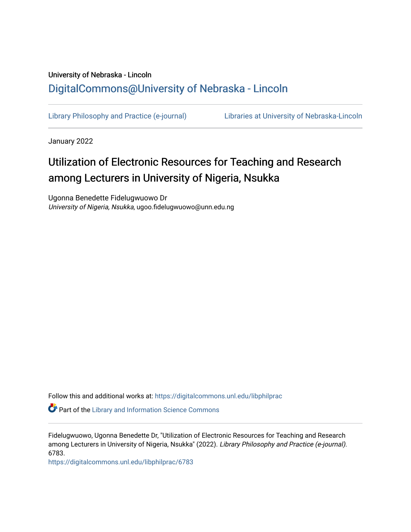## University of Nebraska - Lincoln [DigitalCommons@University of Nebraska - Lincoln](https://digitalcommons.unl.edu/)

[Library Philosophy and Practice \(e-journal\)](https://digitalcommons.unl.edu/libphilprac) [Libraries at University of Nebraska-Lincoln](https://digitalcommons.unl.edu/libraries) 

January 2022

# Utilization of Electronic Resources for Teaching and Research among Lecturers in University of Nigeria, Nsukka

Ugonna Benedette Fidelugwuowo Dr University of Nigeria, Nsukka, ugoo.fidelugwuowo@unn.edu.ng

Follow this and additional works at: [https://digitalcommons.unl.edu/libphilprac](https://digitalcommons.unl.edu/libphilprac?utm_source=digitalcommons.unl.edu%2Flibphilprac%2F6783&utm_medium=PDF&utm_campaign=PDFCoverPages) 

**Part of the Library and Information Science Commons** 

Fidelugwuowo, Ugonna Benedette Dr, "Utilization of Electronic Resources for Teaching and Research among Lecturers in University of Nigeria, Nsukka" (2022). Library Philosophy and Practice (e-journal). 6783.

[https://digitalcommons.unl.edu/libphilprac/6783](https://digitalcommons.unl.edu/libphilprac/6783?utm_source=digitalcommons.unl.edu%2Flibphilprac%2F6783&utm_medium=PDF&utm_campaign=PDFCoverPages)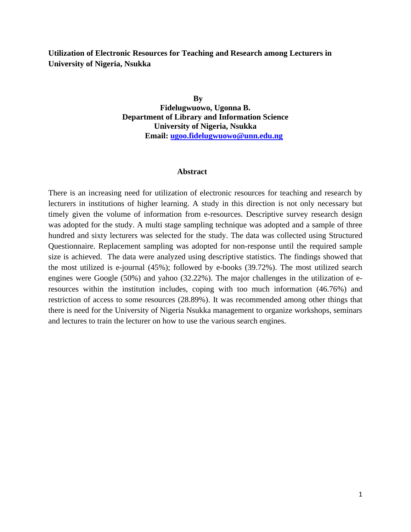**Utilization of Electronic Resources for Teaching and Research among Lecturers in University of Nigeria, Nsukka**

> **By Fidelugwuowo, Ugonna B. Department of Library and Information Science University of Nigeria, Nsukka Email: [ugoo.fidelugwuowo@unn.edu.ng](mailto:ugoo.fidelugwuowo@unn.edu.ng)**

#### **Abstract**

There is an increasing need for utilization of electronic resources for teaching and research by lecturers in institutions of higher learning. A study in this direction is not only necessary but timely given the volume of information from e-resources. Descriptive survey research design was adopted for the study. A multi stage sampling technique was adopted and a sample of three hundred and sixty lecturers was selected for the study. The data was collected using Structured Questionnaire. Replacement sampling was adopted for non-response until the required sample size is achieved. The data were analyzed using descriptive statistics. The findings showed that the most utilized is e-journal (45%); followed by e-books (39.72%). The most utilized search engines were Google (50%) and yahoo (32.22%). The major challenges in the utilization of eresources within the institution includes, coping with too much information (46.76%) and restriction of access to some resources (28.89%). It was recommended among other things that there is need for the University of Nigeria Nsukka management to organize workshops, seminars and lectures to train the lecturer on how to use the various search engines.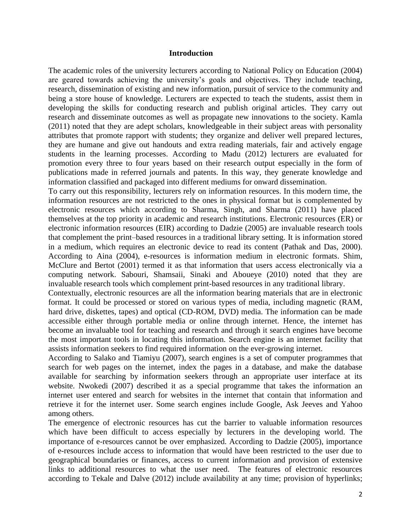#### **Introduction**

The academic roles of the university lecturers according to National Policy on Education (2004) are geared towards achieving the university's goals and objectives. They include teaching, research, dissemination of existing and new information, pursuit of service to the community and being a store house of knowledge. Lecturers are expected to teach the students, assist them in developing the skills for conducting research and publish original articles. They carry out research and disseminate outcomes as well as propagate new innovations to the society. Kamla (2011) noted that they are adept scholars, knowledgeable in their subject areas with personality attributes that promote rapport with students; they organize and deliver well prepared lectures, they are humane and give out handouts and extra reading materials, fair and actively engage students in the learning processes. According to Madu (2012) lecturers are evaluated for promotion every three to four years based on their research output especially in the form of publications made in referred journals and patents. In this way, they generate knowledge and information classified and packaged into different mediums for onward dissemination.

To carry out this responsibility, lecturers rely on information resources. In this modern time, the information resources are not restricted to the ones in physical format but is complemented by electronic resources which according to Sharma, Singh, and Sharma (2011) have placed themselves at the top priority in academic and research institutions. Electronic resources (ER) or electronic information resources (EIR) according to Dadzie (2005) are invaluable research tools that complement the print–based resources in a traditional library setting. It is information stored in a medium, which requires an electronic device to read its content (Pathak and Das, 2000). According to Aina (2004), e-resources is information medium in electronic formats. Shim, McClure and Bertot (2001) termed it as that information that users access electronically via a computing network. Sabouri, Shamsaii, Sinaki and Aboueye (2010) noted that they are invaluable research tools which complement print-based resources in any traditional library.

Contextually, electronic resources are all the information bearing materials that are in electronic format. It could be processed or stored on various types of media, including magnetic (RAM, hard drive, diskettes, tapes) and optical (CD-ROM, DVD) media. The information can be made accessible either through portable media or online through internet. Hence, the internet has become an invaluable tool for teaching and research and through it search engines have become the most important tools in locating this information. Search engine is an internet facility that assists information seekers to find required information on the ever-growing internet.

According to Salako and Tiamiyu (2007), search engines is a set of computer programmes that search for web pages on the internet, index the pages in a database, and make the database available for searching by information seekers through an appropriate user interface at its website. Nwokedi (2007) described it as a special programme that takes the information an internet user entered and search for websites in the internet that contain that information and retrieve it for the internet user. Some search engines include Google, Ask Jeeves and Yahoo among others.

The emergence of electronic resources has cut the barrier to valuable information resources which have been difficult to access especially by lecturers in the developing world. The importance of e-resources cannot be over emphasized. According to Dadzie (2005), importance of e-resources include access to information that would have been restricted to the user due to geographical boundaries or finances, access to current information and provision of extensive links to additional resources to what the user need. The features of electronic resources according to Tekale and Dalve (2012) include availability at any time; provision of hyperlinks;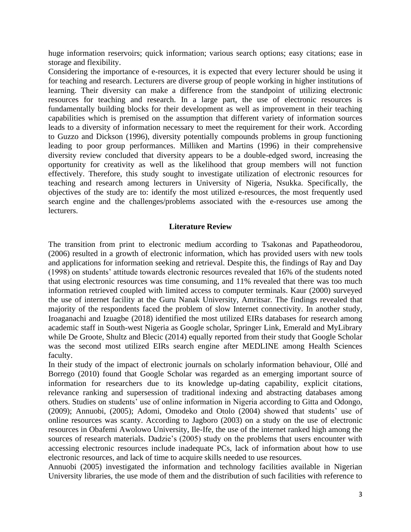huge information reservoirs; quick information; various search options; easy citations; ease in storage and flexibility.

Considering the importance of e-resources, it is expected that every lecturer should be using it for teaching and research. Lecturers are diverse group of people working in higher institutions of learning. Their diversity can make a difference from the standpoint of utilizing electronic resources for teaching and research. In a large part, the use of electronic resources is fundamentally building blocks for their development as well as improvement in their teaching capabilities which is premised on the assumption that different variety of information sources leads to a diversity of information necessary to meet the requirement for their work. According to Guzzo and Dickson (1996), diversity potentially compounds problems in group functioning leading to poor group performances. Milliken and Martins (1996) in their comprehensive diversity review concluded that diversity appears to be a double-edged sword, increasing the opportunity for creativity as well as the likelihood that group members will not function effectively. Therefore, this study sought to investigate utilization of electronic resources for teaching and research among lecturers in University of Nigeria, Nsukka. Specifically, the objectives of the study are to: identify the most utilized e-resources, the most frequently used search engine and the challenges/problems associated with the e-resources use among the lecturers.

#### **Literature Review**

The transition from print to electronic medium according to Tsakonas and Papatheodorou, (2006) resulted in a growth of electronic information, which has provided users with new tools and applications for information seeking and retrieval. Despite this, the findings of Ray and Day (1998) on students' attitude towards electronic resources revealed that 16% of the students noted that using electronic resources was time consuming, and 11% revealed that there was too much information retrieved coupled with limited access to computer terminals. Kaur (2000) surveyed the use of internet facility at the Guru Nanak University, Amritsar. The findings revealed that majority of the respondents faced the problem of slow Internet connectivity. In another study, Iroaganachi and Izuagbe (2018) identified the most utilized EIRs databases for research among academic staff in South-west Nigeria as Google scholar, Springer Link, Emerald and MyLibrary while De Groote, Shultz and Blecic (2014) equally reported from their study that Google Scholar was the second most utilized EIRs search engine after MEDLINE among Health Sciences faculty.

In their study of the impact of electronic journals on scholarly information behaviour, Ollé and Borrego (2010) found that Google Scholar was regarded as an emerging important source of information for researchers due to its knowledge up-dating capability, explicit citations, relevance ranking and supersession of traditional indexing and abstracting databases among others. Studies on students' use of online information in Nigeria according to Gitta and Odongo, (2009); Annuobi, (2005); Adomi, Omodeko and Otolo (2004) showed that students' use of online resources was scanty. According to Jagboro (2003) on a study on the use of electronic resources in Obafemi Awolowo University, Ile-Ife, the use of the internet ranked high among the sources of research materials. Dadzie's (2005) study on the problems that users encounter with accessing electronic resources include inadequate PCs, lack of information about how to use electronic resources, and lack of time to acquire skills needed to use resources.

Annuobi (2005) investigated the information and technology facilities available in Nigerian University libraries, the use mode of them and the distribution of such facilities with reference to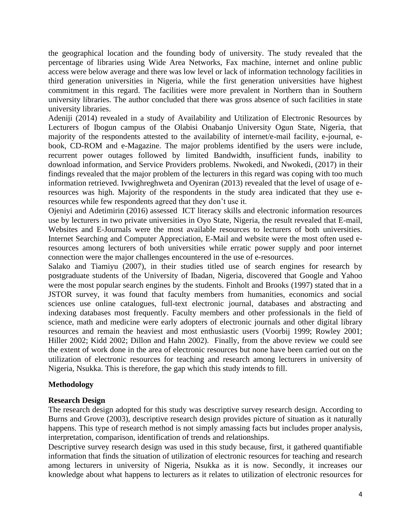the geographical location and the founding body of university. The study revealed that the percentage of libraries using Wide Area Networks, Fax machine, internet and online public access were below average and there was low level or lack of information technology facilities in third generation universities in Nigeria, while the first generation universities have highest commitment in this regard. The facilities were more prevalent in Northern than in Southern university libraries. The author concluded that there was gross absence of such facilities in state university libraries.

Adeniji (2014) revealed in a study of Availability and Utilization of Electronic Resources by Lecturers of Ibogun campus of the Olabisi Onabanjo University Ogun State, Nigeria, that majority of the respondents attested to the availability of internet/e-mail facility, e-journal, ebook, CD-ROM and e-Magazine. The major problems identified by the users were include, recurrent power outages followed by limited Bandwidth, insufficient funds, inability to download information, and Service Providers problems. Nwokedi, and Nwokedi, (2017) in their findings revealed that the major problem of the lecturers in this regard was coping with too much information retrieved. Ivwighreghweta and Oyeniran (2013) revealed that the level of usage of eresources was high. Majority of the respondents in the study area indicated that they use eresources while few respondents agreed that they don't use it.

Ojeniyi and Adetimirin (2016) assessed ICT literacy skills and electronic information resources use by lecturers in two private universities in Oyo State, Nigeria, the result revealed that E-mail, Websites and E-Journals were the most available resources to lecturers of both universities. Internet Searching and Computer Appreciation, E-Mail and website were the most often used eresources among lecturers of both universities while erratic power supply and poor internet connection were the major challenges encountered in the use of e-resources.

Salako and Tiamiyu (2007), in their studies titled use of search engines for research by postgraduate students of the University of Ibadan, Nigeria, discovered that Google and Yahoo were the most popular search engines by the students. Finholt and Brooks (1997) stated that in a JSTOR survey, it was found that faculty members from humanities, economics and social sciences use online catalogues, full-text electronic journal, databases and abstracting and indexing databases most frequently. Faculty members and other professionals in the field of science, math and medicine were early adopters of electronic journals and other digital library resources and remain the heaviest and most enthusiastic users (Voorbij 1999; Rowley 2001; Hiller 2002; Kidd 2002; Dillon and Hahn 2002). Finally, from the above review we could see the extent of work done in the area of electronic resources but none have been carried out on the utilization of electronic resources for teaching and research among lecturers in university of Nigeria, Nsukka. This is therefore, the gap which this study intends to fill.

## **Methodology**

### **Research Design**

The research design adopted for this study was descriptive survey research design. According to Burns and Grove (2003), descriptive research design provides picture of situation as it naturally happens. This type of research method is not simply amassing facts but includes proper analysis, interpretation, comparison, identification of trends and relationships.

Descriptive survey research design was used in this study because, first, it gathered quantifiable information that finds the situation of utilization of electronic resources for teaching and research among lecturers in university of Nigeria, Nsukka as it is now. Secondly, it increases our knowledge about what happens to lecturers as it relates to utilization of electronic resources for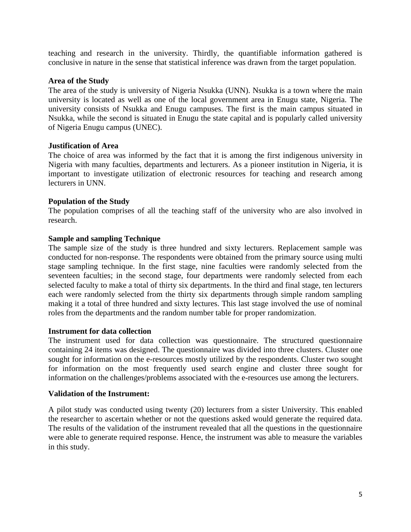teaching and research in the university. Thirdly, the quantifiable information gathered is conclusive in nature in the sense that statistical inference was drawn from the target population.

## **Area of the Study**

The area of the study is university of Nigeria Nsukka (UNN). Nsukka is a town where the main university is located as well as one of the local government area in Enugu state, Nigeria. The university consists of Nsukka and Enugu campuses. The first is the main campus situated in Nsukka, while the second is situated in Enugu the state capital and is popularly called university of Nigeria Enugu campus (UNEC).

## **Justification of Area**

The choice of area was informed by the fact that it is among the first indigenous university in Nigeria with many faculties, departments and lecturers. As a pioneer institution in Nigeria, it is important to investigate utilization of electronic resources for teaching and research among lecturers in UNN.

## **Population of the Study**

The population comprises of all the teaching staff of the university who are also involved in research.

## **Sample and sampling Technique**

The sample size of the study is three hundred and sixty lecturers. Replacement sample was conducted for non-response. The respondents were obtained from the primary source using multi stage sampling technique. In the first stage, nine faculties were randomly selected from the seventeen faculties; in the second stage, four departments were randomly selected from each selected faculty to make a total of thirty six departments. In the third and final stage, ten lecturers each were randomly selected from the thirty six departments through simple random sampling making it a total of three hundred and sixty lectures. This last stage involved the use of nominal roles from the departments and the random number table for proper randomization.

### **Instrument for data collection**

The instrument used for data collection was questionnaire. The structured questionnaire containing 24 items was designed. The questionnaire was divided into three clusters. Cluster one sought for information on the e-resources mostly utilized by the respondents. Cluster two sought for information on the most frequently used search engine and cluster three sought for information on the challenges/problems associated with the e-resources use among the lecturers.

### **Validation of the Instrument:**

A pilot study was conducted using twenty (20) lecturers from a sister University. This enabled the researcher to ascertain whether or not the questions asked would generate the required data. The results of the validation of the instrument revealed that all the questions in the questionnaire were able to generate required response. Hence, the instrument was able to measure the variables in this study.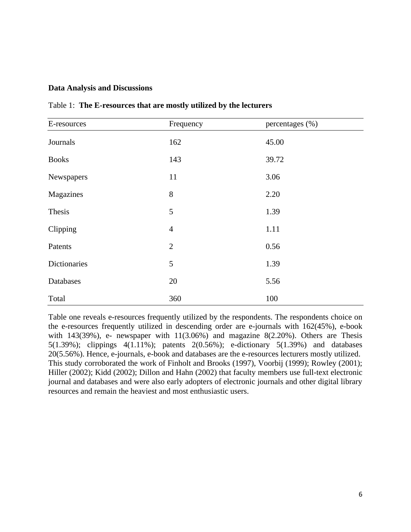#### **Data Analysis and Discussions**

| E-resources  | Frequency      | percentages (%) |
|--------------|----------------|-----------------|
| Journals     | 162            | 45.00           |
| <b>Books</b> | 143            | 39.72           |
| Newspapers   | 11             | 3.06            |
| Magazines    | 8              | 2.20            |
| Thesis       | 5              | 1.39            |
| Clipping     | $\overline{4}$ | 1.11            |
| Patents      | $\overline{2}$ | 0.56            |
| Dictionaries | 5              | 1.39            |
| Databases    | 20             | 5.56            |
| Total        | 360            | 100             |

Table 1: **The E-resources that are mostly utilized by the lecturers**

Table one reveals e-resources frequently utilized by the respondents. The respondents choice on the e-resources frequently utilized in descending order are e-journals with 162(45%), e-book with  $143(39\%)$ , e- newspaper with  $11(3.06\%)$  and magazine  $8(2.20\%)$ . Others are Thesis 5(1.39%); clippings 4(1.11%); patents 2(0.56%); e-dictionary 5(1.39%) and databases 20(5.56%). Hence, e-journals, e-book and databases are the e-resources lecturers mostly utilized. This study corroborated the work of Finholt and Brooks (1997), Voorbij (1999); Rowley (2001); Hiller (2002); Kidd (2002); Dillon and Hahn (2002) that faculty members use full-text electronic journal and databases and were also early adopters of electronic journals and other digital library resources and remain the heaviest and most enthusiastic users.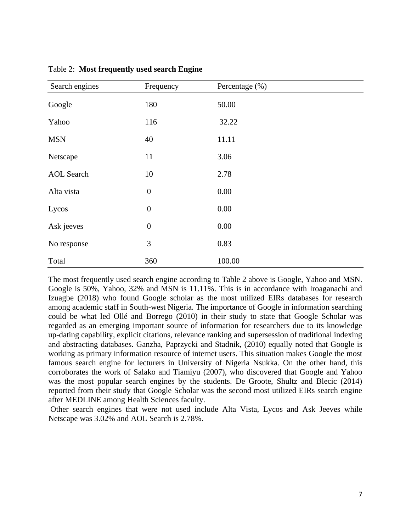| Search engines    | Frequency        | Percentage (%) |
|-------------------|------------------|----------------|
| Google            | 180              | 50.00          |
| Yahoo             | 116              | 32.22          |
| <b>MSN</b>        | 40               | 11.11          |
| Netscape          | 11               | 3.06           |
| <b>AOL</b> Search | 10               | 2.78           |
| Alta vista        | $\boldsymbol{0}$ | 0.00           |
| Lycos             | $\boldsymbol{0}$ | $0.00\,$       |
| Ask jeeves        | $\boldsymbol{0}$ | 0.00           |
| No response       | 3                | 0.83           |
| Total             | 360              | 100.00         |

Table 2: **Most frequently used search Engine**

The most frequently used search engine according to Table 2 above is Google, Yahoo and MSN. Google is 50%, Yahoo, 32% and MSN is 11.11%. This is in accordance with Iroaganachi and Izuagbe (2018) who found Google scholar as the most utilized EIRs databases for research among academic staff in South-west Nigeria. The importance of Google in information searching could be what led Ollé and Borrego (2010) in their study to state that Google Scholar was regarded as an emerging important source of information for researchers due to its knowledge up-dating capability, explicit citations, relevance ranking and supersession of traditional indexing and abstracting databases. Ganzha, Paprzycki and Stadnik, (2010) equally noted that Google is working as primary information resource of internet users. This situation makes Google the most famous search engine for lecturers in University of Nigeria Nsukka. On the other hand, this corroborates the work of Salako and Tiamiyu (2007), who discovered that Google and Yahoo was the most popular search engines by the students. De Groote, Shultz and Blecic (2014) reported from their study that Google Scholar was the second most utilized EIRs search engine after MEDLINE among Health Sciences faculty.

Other search engines that were not used include Alta Vista, Lycos and Ask Jeeves while Netscape was 3.02% and AOL Search is 2.78%.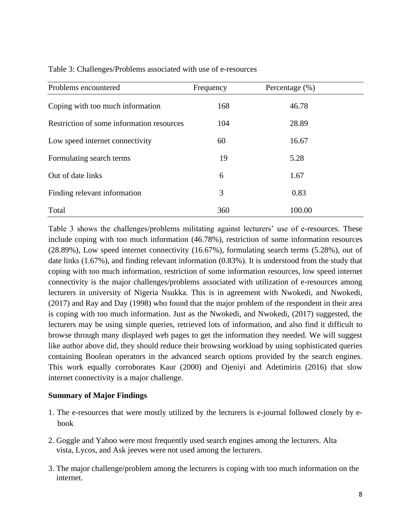| Problems encountered                      | Frequency | Percentage $(\% )$ |  |
|-------------------------------------------|-----------|--------------------|--|
| Coping with too much information          | 168       | 46.78              |  |
| Restriction of some information resources | 104       | 28.89              |  |
| Low speed internet connectivity           | 60        | 16.67              |  |
| Formulating search terms                  | 19        | 5.28               |  |
| Out of date links                         | 6         | 1.67               |  |
| Finding relevant information              | 3         | 0.83               |  |
| Total                                     | 360       | 100.00             |  |

Table 3: Challenges/Problems associated with use of e-resources

Table 3 shows the challenges/problems militating against lecturers' use of e-resources. These include coping with too much information (46.78%), restriction of some information resources (28.89%), Low speed internet connectivity (16.67%), formulating search terms (5.28%), out of date links (1.67%), and finding relevant information (0.83%). It is understood from the study that coping with too much information, restriction of some information resources, low speed internet connectivity is the major challenges/problems associated with utilization of e-resources among lecturers in university of Nigeria Nsukka. This is in agreement with Nwokedi, and Nwokedi, (2017) and Ray and Day (1998) who found that the major problem of the respondent in their area is coping with too much information. Just as the Nwokedi, and Nwokedi, (2017) suggested, the lecturers may be using simple queries, retrieved lots of information, and also find it difficult to browse through many displayed web pages to get the information they needed. We will suggest like author above did, they should reduce their browsing workload by using sophisticated queries containing Boolean operators in the advanced search options provided by the search engines. This work equally corroborates Kaur (2000) and Ojeniyi and Adetimirin (2016) that slow internet connectivity is a major challenge.

### **Summary of Major Findings**

- 1. The e-resources that were mostly utilized by the lecturers is e-journal followed closely by ebook
- 2. Goggle and Yahoo were most frequently used search engines among the lecturers. Alta vista, Lycos, and Ask jeeves were not used among the lecturers.
- 3. The major challenge/problem among the lecturers is coping with too much information on the internet.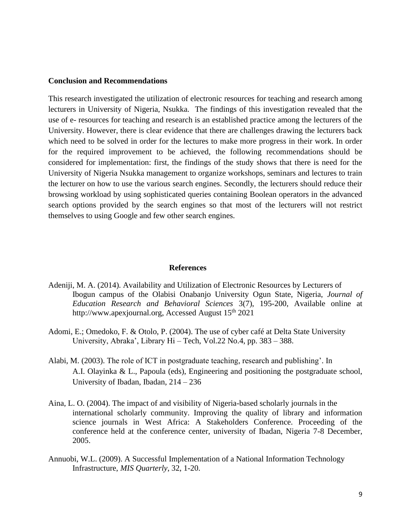#### **Conclusion and Recommendations**

This research investigated the utilization of electronic resources for teaching and research among lecturers in University of Nigeria, Nsukka. The findings of this investigation revealed that the use of e- resources for teaching and research is an established practice among the lecturers of the University. However, there is clear evidence that there are challenges drawing the lecturers back which need to be solved in order for the lectures to make more progress in their work. In order for the required improvement to be achieved, the following recommendations should be considered for implementation: first, the findings of the study shows that there is need for the University of Nigeria Nsukka management to organize workshops, seminars and lectures to train the lecturer on how to use the various search engines. Secondly, the lecturers should reduce their browsing workload by using sophisticated queries containing Boolean operators in the advanced search options provided by the search engines so that most of the lecturers will not restrict themselves to using Google and few other search engines.

#### **References**

- Adeniji, M. A. (2014). Availability and Utilization of Electronic Resources by Lecturers of Ibogun campus of the Olabisi Onabanjo University Ogun State, Nigeria, *Journal of Education Research and Behavioral Sciences* 3(7), 195-200, Available online at http://www.apexjournal.org, Accessed August  $15<sup>th</sup> 2021$
- Adomi, E.; Omedoko, F. & Otolo, P. (2004). The use of cyber café at Delta State University University, Abraka', Library Hi – Tech, Vol.22 No.4, pp. 383 – 388.
- Alabi, M. (2003). The role of ICT in postgraduate teaching, research and publishing'. In A.I. Olayinka & L., Papoula (eds), Engineering and positioning the postgraduate school, University of Ibadan, Ibadan, 214 – 236
- Aina, L. O. (2004). The impact of and visibility of Nigeria-based scholarly journals in the international scholarly community. Improving the quality of library and information science journals in West Africa: A Stakeholders Conference. Proceeding of the conference held at the conference center, university of Ibadan, Nigeria 7-8 December, 2005.
- Annuobi, W.L. (2009). A Successful Implementation of a National Information Technology Infrastructure, *MIS Quarterly*, 32, 1-20.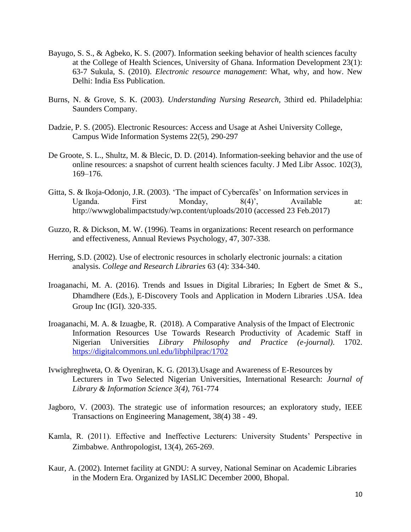- Bayugo, S. S., & Agbeko, K. S. (2007). Information seeking behavior of health sciences faculty at the College of Health Sciences, University of Ghana. Information Development 23(1): 63-7 Sukula, S. (2010). *Electronic resource management*: What, why, and how. New Delhi: India Ess Publication.
- Burns, N. & Grove, S. K. (2003). *Understanding Nursing Research,* 3third ed. Philadelphia: Saunders Company.
- Dadzie, P. S. (2005). Electronic Resources: Access and Usage at Ashei University College, Campus Wide Information Systems 22(5), 290-297
- De Groote, S. L., Shultz, M. & Blecic, D. D. (2014). Information-seeking behavior and the use of online resources: a snapshot of current health sciences faculty. J Med Libr Assoc. 102(3), 169–176.
- Gitta, S. & Ikoja-Odonjo, J.R. (2003). 'The impact of Cybercafés' on Information services in Uganda. First Monday, 8(4)', Available at: http://wwwglobalimpactstudy/wp.content/uploads/2010 (accessed 23 Feb.2017)
- Guzzo, R. & Dickson, M. W. (1996). Teams in organizations: Recent research on performance and effectiveness, Annual Reviews Psychology, 47, 307-338.
- Herring, S.D. (2002). Use of electronic resources in scholarly electronic journals: a citation analysis. *College and Research Libraries* 63 (4): 334-340.
- Iroaganachi, M. A. (2016). Trends and Issues in Digital Libraries; In Egbert de Smet & S., Dhamdhere (Eds.), E-Discovery Tools and Application in Modern Libraries .USA. Idea Group Inc (IGI). 320-335.
- Iroaganachi, M. A. & Izuagbe, R. (2018). A Comparative Analysis of the Impact of Electronic Information Resources Use Towards Research Productivity of Academic Staff in Nigerian Universities *Library Philosophy and Practice (e-journal)*. 1702. <https://digitalcommons.unl.edu/libphilprac/1702>
- Ivwighreghweta, O. & Oyeniran, K. G. (2013).Usage and Awareness of E-Resources by Lecturers in Two Selected Nigerian Universities, International Research: *Journal of Library & Information Science 3(4),* 761-774
- Jagboro, V. (2003). The strategic use of information resources; an exploratory study, IEEE Transactions on Engineering Management, 38(4) 38 - 49.
- Kamla, R. (2011). Effective and Ineffective Lecturers: University Students' Perspective in Zimbabwe. Anthropologist, 13(4), 265-269.
- Kaur, A. (2002). Internet facility at GNDU: A survey, National Seminar on Academic Libraries in the Modern Era. Organized by IASLIC December 2000, Bhopal.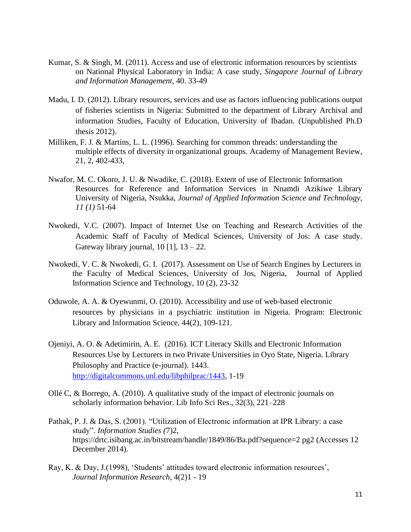- Kumar, S. & Singh, M. (2011). Access and use of electronic information resources by scientists on National Physical Laboratory in India: A case study, *Singapore Journal of Library and Information Management,* 40. 33-49
- Madu, I. D. (2012). Library resources, services and use as factors influencing publications output of fisheries scientists in Nigeria: Submitted to the department of Library Archival and information Studies, Faculty of Education, University of Ibadan. (Unpublished Ph.D thesis 2012).
- Milliken, F. J. & Martins, L. L. (1996). Searching for common threads: understanding the multiple effects of diversity in organizational groups. Academy of Management Review, 21, 2, 402-433,
- Nwafor, M. C. Okoro, J. U. & Nwadike, C. (2018). Extent of use of Electronic Information Resources for Reference and Information Services in Nnamdi Azikiwe Library University of Nigeria, Nsukka, *Journal of Applied Information Science and Technology, 11 (1)* 51-64
- Nwokedi, V.C. (2007). Impact of Internet Use on Teaching and Research Activities of the Academic Staff of Faculty of Medical Sciences, University of Jos: A case study. Gateway library journal,  $10$  [1],  $13 - 22$ .
- Nwokedi, V. C. & Nwokedi, G. I. (2017). Assessment on Use of Search Engines by Lecturers in the Faculty of Medical Sciences, University of Jos, Nigeria, Journal of Applied Information Science and Technology, 10 (2), 23-32
- Oduwole, A. A. & Oyewunmi, O. (2010). Accessibility and use of web-based electronic resources by physicians in a psychiatric institution in Nigeria. Program: Electronic Library and Information Science, 44(2), 109-121.
- Ojeniyi, A. O. & Adetimirin, A. E. (2016). ICT Literacy Skills and Electronic Information Resources Use by Lecturers in two Private Universities in Oyo State, Nigeria. Library Philosophy and Practice (e-journal). 1443. [http://digitalcommons.unl.edu/libphilprac/1443,](http://digitalcommons.unl.edu/libphilprac/1443) 1-19
- Ollé C, & Borrego, A. (2010). A qualitative study of the impact of electronic journals on scholarly information behavior. Lib Info Sci Res., 32(3), 221–228
- Pathak, P. J. & Das, S. (2001). "Utilization of Electronic information at IPR Library: a case study". *Information Studies (*7)2, https://drtc.isibang.ac.in/bitstream/handle/1849/86/Ba.pdf?sequence=2 pg2 (Accesses 12 December 2014).
- Ray, K. & Day, J.(1998), 'Students' attitudes toward electronic information resources', *Journal Information Research*, 4(2)1 - 19